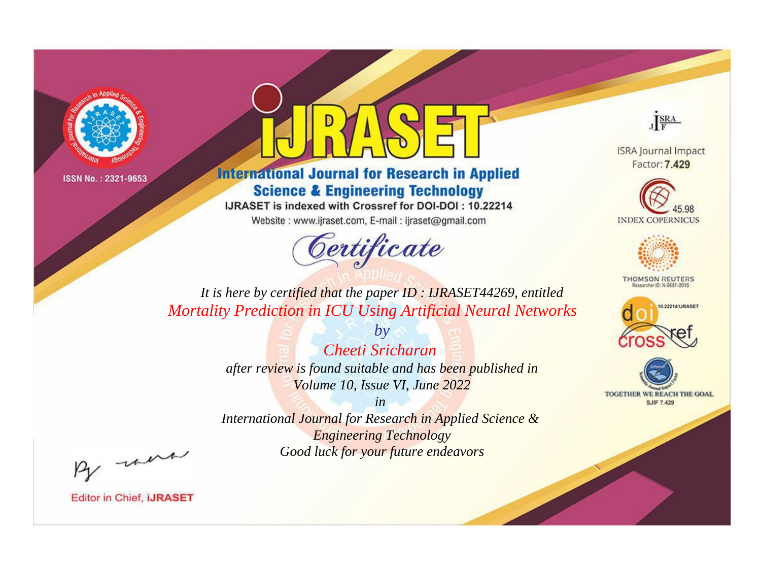



**International Journal for Research in Applied Science & Engineering Technology** 

IJRASET is indexed with Crossref for DOI-DOI: 10.22214

Website: www.ijraset.com, E-mail: ijraset@gmail.com



JERA

**ISRA Journal Impact** Factor: 7.429





**THOMSON REUTERS** 



TOGETHER WE REACH THE GOAL **SJIF 7.429** 

*It is here by certified that the paper ID : IJRASET44269, entitled Mortality Prediction in ICU Using Artificial Neural Networks*

> *by Cheeti Sricharan after review is found suitable and has been published in Volume 10, Issue VI, June 2022*

> > *in*

*International Journal for Research in Applied Science & Engineering Technology Good luck for your future endeavors*

By morn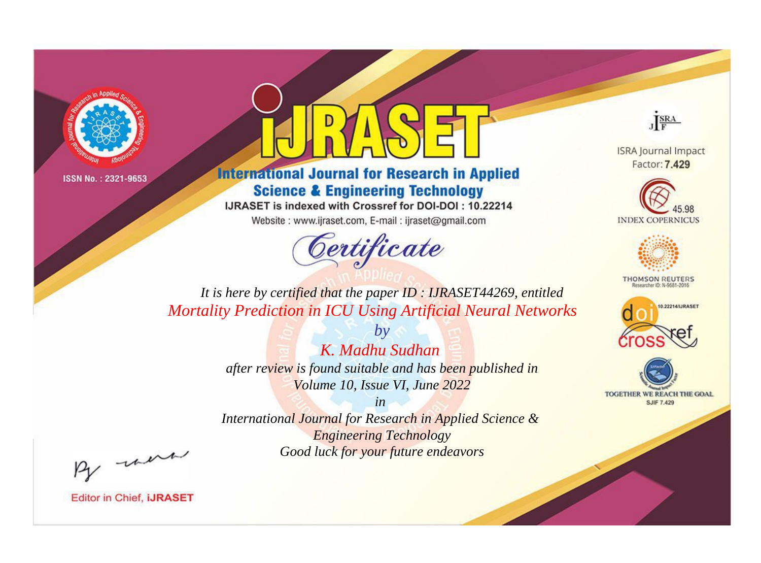



**International Journal for Research in Applied Science & Engineering Technology** 

IJRASET is indexed with Crossref for DOI-DOI: 10.22214

Website: www.ijraset.com, E-mail: ijraset@gmail.com



JERA

**ISRA Journal Impact** Factor: 7.429





**THOMSON REUTERS** 



TOGETHER WE REACH THE GOAL **SJIF 7.429** 

*It is here by certified that the paper ID : IJRASET44269, entitled Mortality Prediction in ICU Using Artificial Neural Networks*

> *by K. Madhu Sudhan after review is found suitable and has been published in Volume 10, Issue VI, June 2022*

> > *in*

*International Journal for Research in Applied Science & Engineering Technology Good luck for your future endeavors*

By morn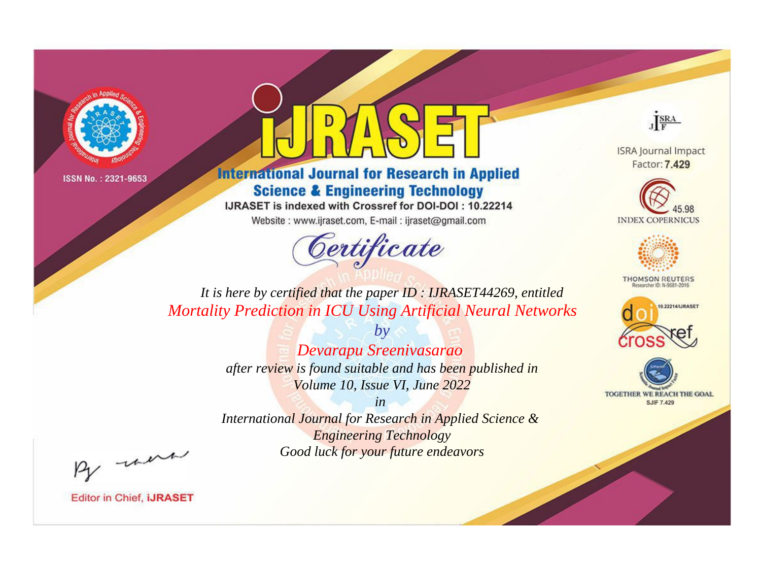

## **International Journal for Research in Applied Science & Engineering Technology**

IJRASET is indexed with Crossref for DOI-DOI: 10.22214

Website: www.ijraset.com, E-mail: ijraset@gmail.com

# Certificate



**ISRA Journal Impact** Factor: 7.429





**THOMSON REUTERS** 



TOGETHER WE REACH THE GOAL **SJIF 7.429** 

*It is here by certified that the paper ID : IJRASET44269, entitled Mortality Prediction in ICU Using Artificial Neural Networks*

> *by Devarapu Sreenivasarao after review is found suitable and has been published in Volume 10, Issue VI, June 2022*

> > *in*

*International Journal for Research in Applied Science & Engineering Technology Good luck for your future endeavors*

By morn